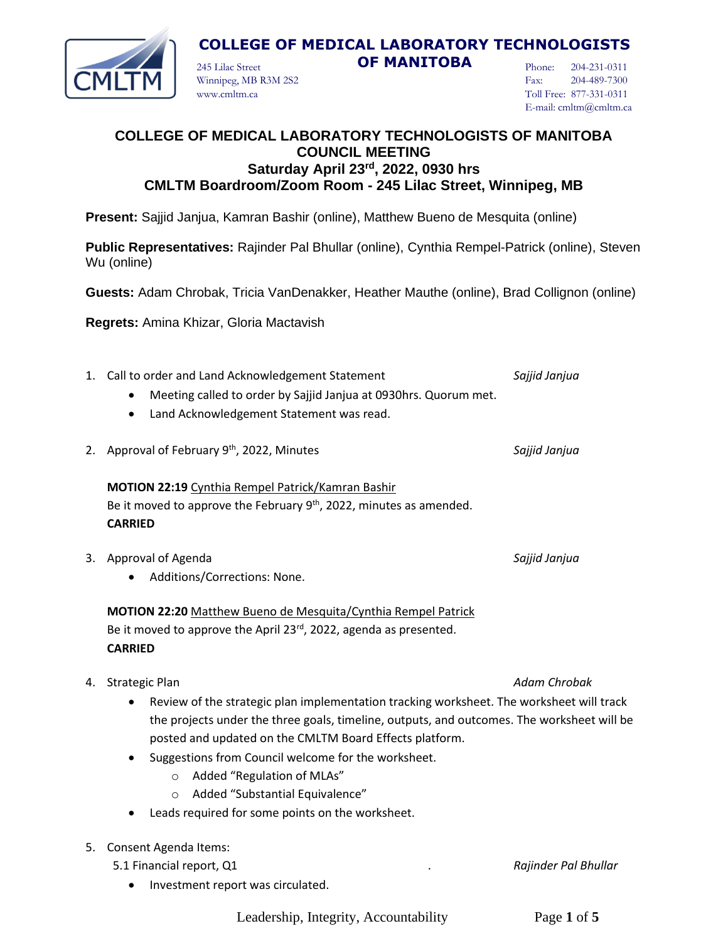

245 Lilac Street **OF MANITOBA**

Phone: 204-231-0311 Fax: 204-489-7300 Toll Free: 877-331-0311 E-mail: cmltm@cmltm.ca

## **COLLEGE OF MEDICAL LABORATORY TECHNOLOGISTS OF MANITOBA COUNCIL MEETING Saturday April 23rd, 2022, 0930 hrs CMLTM Boardroom/Zoom Room - 245 Lilac Street, Winnipeg, MB**

**Present:** Sajjid Janjua, Kamran Bashir (online), Matthew Bueno de Mesquita (online)

**Public Representatives:** Rajinder Pal Bhullar (online), Cynthia Rempel-Patrick (online), Steven Wu (online)

**Guests:** Adam Chrobak, Tricia VanDenakker, Heather Mauthe (online), Brad Collignon (online)

**Regrets:** Amina Khizar, Gloria Mactavish

Winnipeg, MB R3M 2S2

www.cmltm.ca

• Meeting called to order by Sajjid Janjua at 0930hrs. Quorum met. • Land Acknowledgement Statement was read. 2. Approval of February 9 th , 2022, Minutes *Sajjid Janjua* **MOTION 22:19** Cynthia Rempel Patrick/Kamran Bashir Be it moved to approve the February 9<sup>th</sup>, 2022, minutes as amended. **CARRIED**

1. Call to order and Land Acknowledgement Statement *Sajjid Janjua*

- 3. Approval of Agenda *Sajjid Janjua*
	- Additions/Corrections: None.

**MOTION 22:20** Matthew Bueno de Mesquita/Cynthia Rempel Patrick Be it moved to approve the April 23<sup>rd</sup>, 2022, agenda as presented. **CARRIED**

- 4. Strategic Plan *Adam Chrobak*
	- Review of the strategic plan implementation tracking worksheet. The worksheet will track the projects under the three goals, timeline, outputs, and outcomes. The worksheet will be posted and updated on the CMLTM Board Effects platform.
	- Suggestions from Council welcome for the worksheet.
		- o Added "Regulation of MLAs"
		- o Added "Substantial Equivalence"
	- Leads required for some points on the worksheet.
- 5. Consent Agenda Items:

5.1 Financial report, Q1 . *Rajinder Pal Bhullar*

• Investment report was circulated.

Leadership, Integrity, Accountability Page **1** of **5**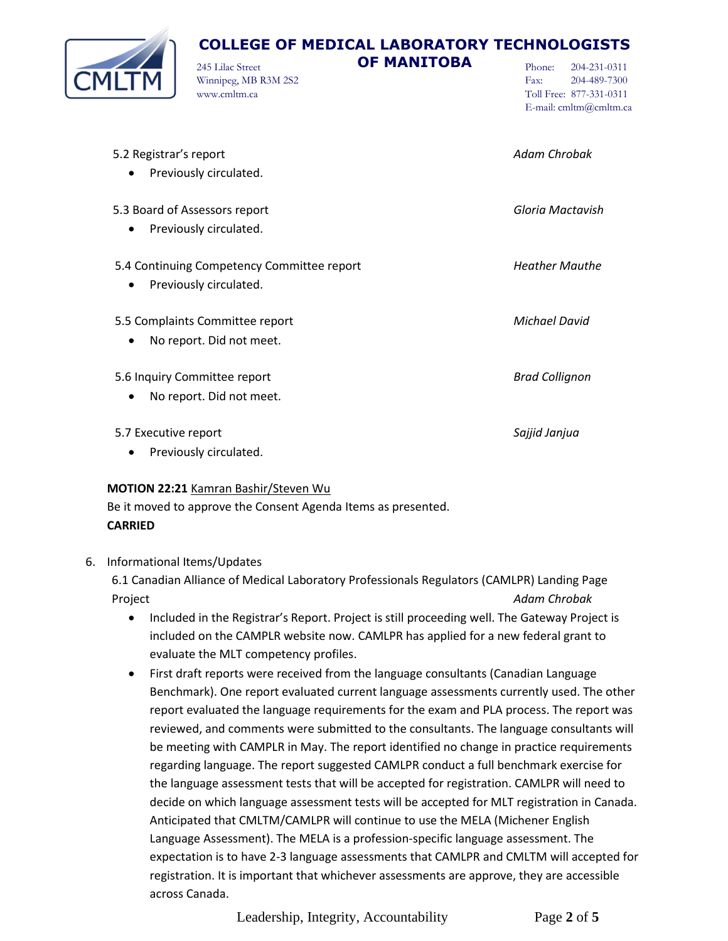

Winnipeg, MB R3M 2S2 www.cmltm.ca

245 Lilac Street **OF MANITOBA**

Phone: 204-231-0311 Fax: 204-489-7300 Toll Free: 877-331-0311 E-mail: cmltm@cmltm.ca

| 5.2 Registrar's report<br>Previously circulated.                                  | Adam Chrobak          |
|-----------------------------------------------------------------------------------|-----------------------|
| 5.3 Board of Assessors report<br>Previously circulated.<br>$\bullet$              | Gloria Mactavish      |
| 5.4 Continuing Competency Committee report<br>Previously circulated.<br>$\bullet$ | <b>Heather Mauthe</b> |
| 5.5 Complaints Committee report<br>No report. Did not meet.                       | <b>Michael David</b>  |
| 5.6 Inquiry Committee report<br>No report. Did not meet.<br>$\bullet$             | <b>Brad Collignon</b> |
| 5.7 Executive report<br>Previously circulated.                                    | Sajjid Janjua         |

#### **MOTION 22:21** Kamran Bashir/Steven Wu

Be it moved to approve the Consent Agenda Items as presented. **CARRIED**

6. Informational Items/Updates

6.1 Canadian Alliance of Medical Laboratory Professionals Regulators (CAMLPR) Landing Page Project *Adam Chrobak*

- Included in the Registrar's Report. Project is still proceeding well. The Gateway Project is included on the CAMPLR website now. CAMLPR has applied for a new federal grant to evaluate the MLT competency profiles.
- First draft reports were received from the language consultants (Canadian Language Benchmark). One report evaluated current language assessments currently used. The other report evaluated the language requirements for the exam and PLA process. The report was reviewed, and comments were submitted to the consultants. The language consultants will be meeting with CAMPLR in May. The report identified no change in practice requirements regarding language. The report suggested CAMLPR conduct a full benchmark exercise for the language assessment tests that will be accepted for registration. CAMLPR will need to decide on which language assessment tests will be accepted for MLT registration in Canada. Anticipated that CMLTM/CAMLPR will continue to use the MELA (Michener English Language Assessment). The MELA is a profession-specific language assessment. The expectation is to have 2-3 language assessments that CAMLPR and CMLTM will accepted for registration. It is important that whichever assessments are approve, they are accessible across Canada.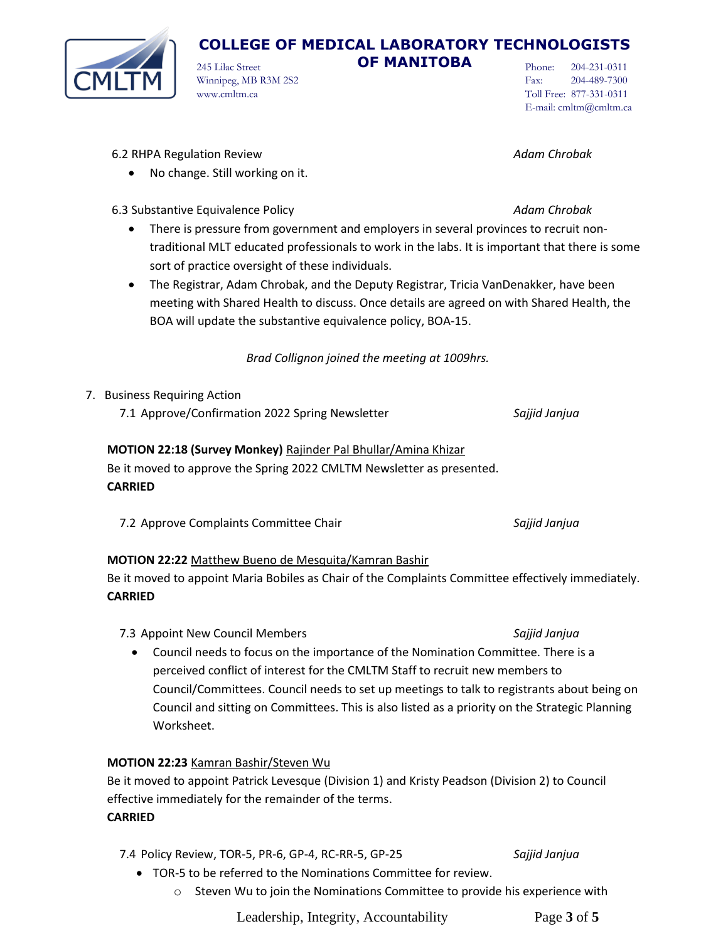

Winnipeg, MB R3M 2S2 www.cmltm.ca

#### 245 Lilac Street **OF MANITOBA**

Phone: 204-231-0311 Fax: 204-489-7300 Toll Free: 877-331-0311 E-mail: cmltm@cmltm.ca

#### 6.2 RHPA Regulation Review *Adam Chrobak*

- No change. Still working on it.
- 6.3 Substantive Equivalence Policy *Adam Chrobak*
	- There is pressure from government and employers in several provinces to recruit nontraditional MLT educated professionals to work in the labs. It is important that there is some sort of practice oversight of these individuals.
	- The Registrar, Adam Chrobak, and the Deputy Registrar, Tricia VanDenakker, have been meeting with Shared Health to discuss. Once details are agreed on with Shared Health, the BOA will update the substantive equivalence policy, BOA-15.

*Brad Collignon joined the meeting at 1009hrs.*

- 7. Business Requiring Action
	- 7.1 Approve/Confirmation 2022 Spring Newsletter *Sajjid Janjua*

#### **MOTION 22:18 (Survey Monkey)** Rajinder Pal Bhullar/Amina Khizar

Be it moved to approve the Spring 2022 CMLTM Newsletter as presented. **CARRIED**

| 7.2 Approve Complaints Committee Chair | Sajjid Janjua |
|----------------------------------------|---------------|
|                                        |               |

#### **MOTION 22:22** Matthew Bueno de Mesquita/Kamran Bashir

Be it moved to appoint Maria Bobiles as Chair of the Complaints Committee effectively immediately. **CARRIED**

7.3 Appoint New Council Members *Sajjid Janjua*

• Council needs to focus on the importance of the Nomination Committee. There is a perceived conflict of interest for the CMLTM Staff to recruit new members to Council/Committees. Council needs to set up meetings to talk to registrants about being on Council and sitting on Committees. This is also listed as a priority on the Strategic Planning Worksheet.

#### **MOTION 22:23** Kamran Bashir/Steven Wu

Be it moved to appoint Patrick Levesque (Division 1) and Kristy Peadson (Division 2) to Council effective immediately for the remainder of the terms. **CARRIED**

7.4 Policy Review, TOR-5, PR-6, GP-4, RC-RR-5, GP-25 *Sajjid Janjua*

- TOR-5 to be referred to the Nominations Committee for review.
	- o Steven Wu to join the Nominations Committee to provide his experience with

Leadership, Integrity, Accountability Page **3** of **5**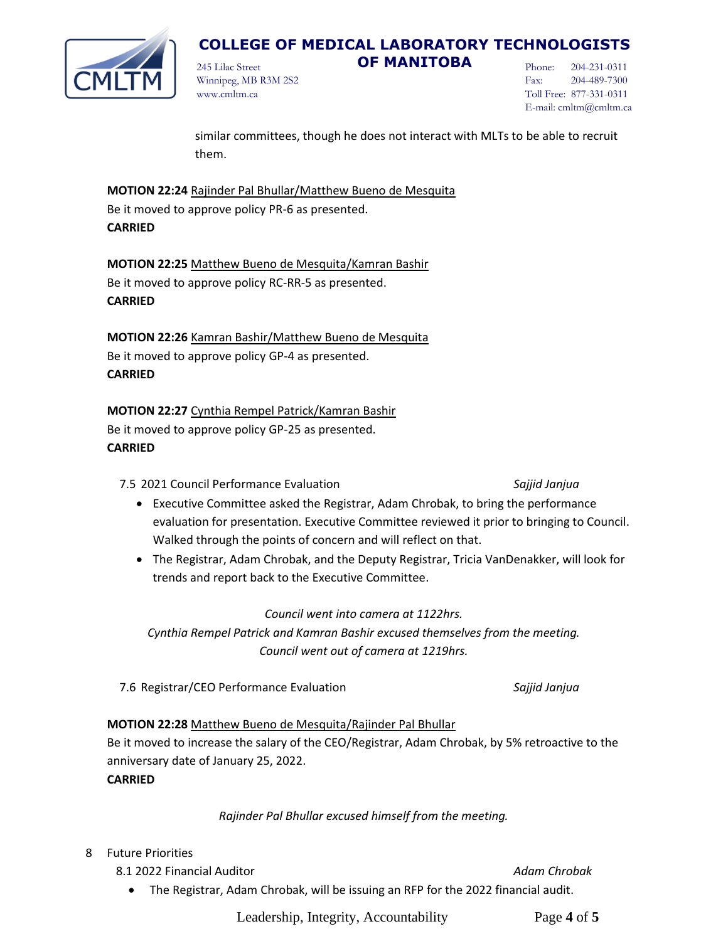

Winnipeg, MB R3M 2S2 www.cmltm.ca

245 Lilac Street **OF MANITOBA**

Phone: 204-231-0311 Fax: 204-489-7300 Toll Free: 877-331-0311 E-mail: cmltm@cmltm.ca

similar committees, though he does not interact with MLTs to be able to recruit them.

**MOTION 22:24** Rajinder Pal Bhullar/Matthew Bueno de Mesquita Be it moved to approve policy PR-6 as presented. **CARRIED**

**MOTION 22:25** Matthew Bueno de Mesquita/Kamran Bashir Be it moved to approve policy RC-RR-5 as presented. **CARRIED**

**MOTION 22:26** Kamran Bashir/Matthew Bueno de Mesquita Be it moved to approve policy GP-4 as presented. **CARRIED**

**MOTION 22:27** Cynthia Rempel Patrick/Kamran Bashir Be it moved to approve policy GP-25 as presented. **CARRIED**

7.5 2021 Council Performance Evaluation *Sajjid Janjua*

- Executive Committee asked the Registrar, Adam Chrobak, to bring the performance evaluation for presentation. Executive Committee reviewed it prior to bringing to Council. Walked through the points of concern and will reflect on that.
- The Registrar, Adam Chrobak, and the Deputy Registrar, Tricia VanDenakker, will look for trends and report back to the Executive Committee.

*Council went into camera at 1122hrs.*

*Cynthia Rempel Patrick and Kamran Bashir excused themselves from the meeting. Council went out of camera at 1219hrs.*

7.6 Registrar/CEO Performance Evaluation *Sajjid Janjua*

# **MOTION 22:28** Matthew Bueno de Mesquita/Rajinder Pal Bhullar

Be it moved to increase the salary of the CEO/Registrar, Adam Chrobak, by 5% retroactive to the anniversary date of January 25, 2022. **CARRIED**

# *Rajinder Pal Bhullar excused himself from the meeting.*

### 8 Future Priorities

8.1 2022 Financial Auditor *Adam Chrobak*

• The Registrar, Adam Chrobak, will be issuing an RFP for the 2022 financial audit.

Leadership, Integrity, Accountability Page **4** of **5**